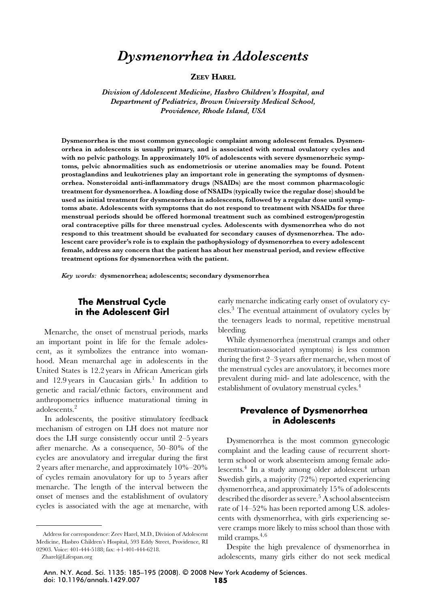# *Dysmenorrhea in Adolescents*

#### **ZEEV HAREL**

*Division of Adolescent Medicine, Hasbro Children's Hospital, and Department of Pediatrics, Brown University Medical School, Providence, Rhode Island, USA*

**Dysmenorrhea is the most common gynecologic complaint among adolescent females. Dysmenorrhea in adolescents is usually primary, and is associated with normal ovulatory cycles and with no pelvic pathology. In approximately 10% of adolescents with severe dysmenorrheic symptoms, pelvic abnormalities such as endometriosis or uterine anomalies may be found. Potent prostaglandins and leukotrienes play an important role in generating the symptoms of dysmenorrhea. Nonsteroidal anti-inflammatory drugs (NSAIDs) are the most common pharmacologic treatment for dysmenorrhea. A loading dose of NSAIDs (typically twice the regular dose) should be used as initial treatment for dysmenorrhea in adolescents, followed by a regular dose until symptoms abate. Adolescents with symptoms that do not respond to treatment with NSAIDs for three menstrual periods should be offered hormonal treatment such as combined estrogen/progestin oral contraceptive pills for three menstrual cycles. Adolescents with dysmenorrhea who do not respond to this treatment should be evaluated for secondary causes of dysmenorrhea. The adolescent care provider's role is to explain the pathophysiology of dysmenorrhea to every adolescent female, address any concern that the patient has about her menstrual period, and review effective treatment options for dysmenorrhea with the patient.**

*Key words:* **dysmenorrhea; adolescents; secondary dysmenorrhea**

# **The Menstrual Cycle in the Adolescent Girl**

Menarche, the onset of menstrual periods, marks an important point in life for the female adolescent, as it symbolizes the entrance into womanhood. Mean menarchal age in adolescents in the United States is 12.2 years in African American girls and  $12.9$  years in Caucasian girls.<sup>1</sup> In addition to genetic and racial/ethnic factors, environment and anthropometrics influence maturational timing in adolescents.2

In adolescents, the positive stimulatory feedback mechanism of estrogen on LH does not mature nor does the LH surge consistently occur until 2–5 years after menarche. As a consequence, 50–80% of the cycles are anovulatory and irregular during the first 2 years after menarche, and approximately 10%–20% of cycles remain anovulatory for up to 5 years after menarche. The length of the interval between the onset of menses and the establishment of ovulatory cycles is associated with the age at menarche, with early menarche indicating early onset of ovulatory cycles.3 The eventual attainment of ovulatory cycles by the teenagers leads to normal, repetitive menstrual bleeding.

While dysmenorrhea (menstrual cramps and other menstruation-associated symptoms) is less common during the first 2–3 years after menarche, when most of the menstrual cycles are anovulatory, it becomes more prevalent during mid- and late adolescence, with the establishment of ovulatory menstrual cycles.<sup>4</sup>

# **Prevalence of Dysmenorrhea in Adolescents**

Dysmenorrhea is the most common gynecologic complaint and the leading cause of recurrent shortterm school or work absenteeism among female adolescents.<sup>4</sup> In a study among older adolescent urban Swedish girls, a majority (72%) reported experiencing dysmenorrhea, and approximately 15% of adolescents described the disorder as severe.<sup>5</sup> A school absenteeism rate of 14–52% has been reported among U.S. adolescents with dysmenorrhea, with girls experiencing severe cramps more likely to miss school than those with mild cramps.4*,*<sup>6</sup>

Despite the high prevalence of dysmenorrhea in adolescents, many girls either do not seek medical

Ann. N.Y. Acad. Sci. 1135: 185-195 (2008). @ 2008 New York Academy of Sciences. doi: 10.1196/annals.1429.007 **185**

Address for correspondence: Zeev Harel, M.D., Division of Adolescent Medicine, Hasbro Children's Hospital, 593 Eddy Street, Providence, RI 02903. Voice: 401-444-5188; fax: +1-401-444-6218.

Zharel@Lifespan.org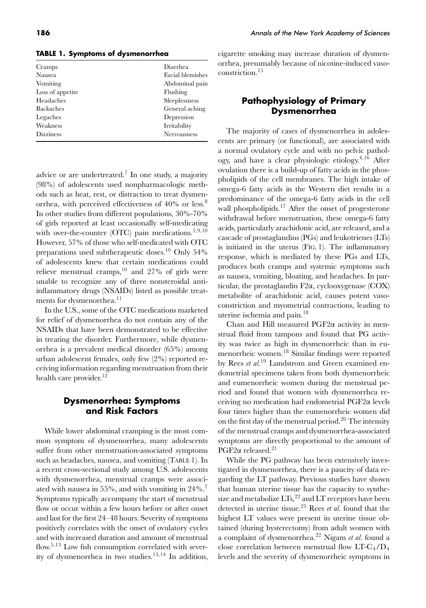| Diarrhea         |
|------------------|
| Facial blemishes |
| Abdominal pain   |
| Flushing         |
| Sleeplessness    |
| General aching   |
| Depression       |
| Irritability     |
| Nervousness      |
|                  |

**TABLE 1. Symptoms of dysmenorrhea**

advice or are undertreated.<sup>7</sup> In one study, a majority (98%) of adolescents used nonpharmacologic methods such as heat, rest, or distraction to treat dysmenorrhea, with perceived effectiveness of 40% or less.<sup>8</sup> In other studies from different populations, 30%-70% of girls reported at least occasionally self-medicating with over-the-counter (OTC) pain medications.5*,*9*,*<sup>10</sup> However, 57% of those who self-medicated with OTC preparations used subtherapeutic doses.<sup>10</sup> Only 54% of adolescents knew that certain medications could relieve menstrual cramps, $10$  and  $27\%$  of girls were unable to recognize any of three nonsteroidal antiinflammatory drugs (NSAIDs) listed as possible treatments for dysmenorrhea.<sup>11</sup>

In the U.S., some of the OTC medications marketed for relief of dysmenorrhea do not contain any of the NSAIDs that have been demonstrated to be effective in treating the disorder. Furthermore, while dysmenorrhea is a prevalent medical disorder (65%) among urban adolescent females, only few (2%) reported receiving information regarding menstruation from their health care provider.<sup>12</sup>

#### **Dysmenorrhea: Symptoms and Risk Factors**

While lower abdominal cramping is the most common symptom of dysmenorrhea, many adolescents suffer from other menstruation-associated symptoms such as headaches, nausea, and vomiting (TABLE 1). In a recent cross-sectional study among U.S. adolescents with dysmenorrhea, menstrual cramps were associated with nausea in 55%, and with vomiting in 24%.<sup>7</sup> Symptoms typically accompany the start of menstrual flow or occur within a few hours before or after onset and last for the first 24–48 hours. Severity of symptoms positively correlates with the onset of ovulatory cycles and with increased duration and amount of menstrual flow.<sup>5</sup>*,*<sup>13</sup> Low fish consumption correlated with severity of dysmenorrhea in two studies.<sup>13</sup>*,*<sup>14</sup> In addition, cigarette smoking may increase duration of dysmenorrhea, presumably because of nicotine-induced vasoconstriction.15

# **Pathophysiology of Primary Dysmenorrhea**

The majority of cases of dysmenorrhea in adolescents are primary (or functional), are associated with a normal ovulatory cycle and with no pelvic pathology, and have a clear physiologic etiology.4*,*<sup>16</sup> After ovulation there is a build-up of fatty acids in the phospholipids of the cell membranes. The high intake of omega-6 fatty acids in the Western diet results in a predominance of the omega-6 fatty acids in the cell wall phospholipids.<sup>17</sup> After the onset of progesterone withdrawal before menstruation, these omega-6 fatty acids, particularly arachidonic acid, are released, and a cascade of prostaglandins (PGs) and leukotrienes (LTs) is initiated in the uterus (FIG. 1). The inflammatory response, which is mediated by these PGs and LTs, produces both cramps and systemic symptoms such as nausea, vomiting, bloating, and headaches. In particular, the prostaglandin F2α, cyclooxygenase (COX) metabolite of arachidonic acid, causes potent vasoconstriction and myometrial contractions, leading to uterine ischemia and pain.<sup>18</sup>

Chan and Hill measured PGF2α activity in menstrual fluid from tampons and found that PG activity was twice as high in dysmenorrheic than in eumenorrheic women.<sup>18</sup> Similar findings were reported by Rees *et al.*<sup>19</sup> Lundstrom and Green examined endometrial specimens taken from both dysmenorrheic and eumenorrheic women during the menstrual period and found that women with dysmenorrhea receiving no medication had endometrial PGF2α levels four times higher than the eumenorrheic women did on the first day of the menstrual period.<sup>20</sup> The intensity of the menstrual cramps and dysmenorrhea-associated symptoms are directly proportional to the amount of PGF<sub>2</sub>α released.<sup>21</sup>

While the PG pathway has been extensively investigated in dysmenorrhea, there is a paucity of data regarding the LT pathway. Previous studies have shown that human uterine tissue has the capacity to synthesize and metabolize  $LTs$ ,  $^{22}$  and  $LT$  receptors have been detected in uterine tissue.23 Rees *et al.* found that the highest LT values were present in uterine tissue obtained (during hysterectomy) from adult women with a complaint of dysmenorrhea.<sup>22</sup> Nigam *et al.* found a close correlation between menstrual flow  $LT-C_4/D_4$ levels and the severity of dysmenorrheic symptoms in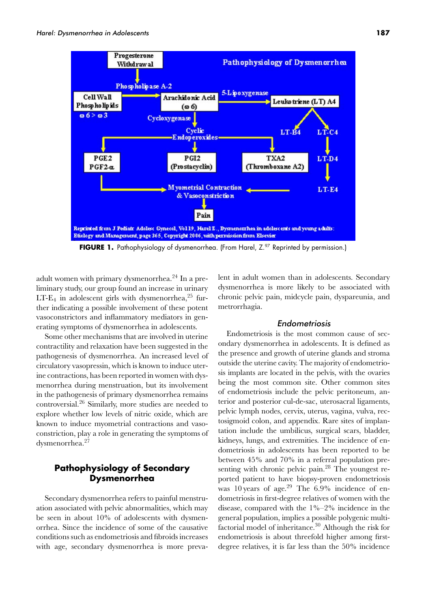

FIGURE 1. Pathophysiology of dysmenorrhea. (From Harel, Z.<sup>97</sup> Reprinted by permission.)

adult women with primary dysmenorrhea.24 In a preliminary study, our group found an increase in urinary LT-E<sub>4</sub> in adolescent girls with dysmenorrhea,<sup>25</sup> further indicating a possible involvement of these potent vasoconstrictors and inflammatory mediators in generating symptoms of dysmenorrhea in adolescents.

Some other mechanisms that are involved in uterine contractility and relaxation have been suggested in the pathogenesis of dysmenorrhea. An increased level of circulatory vasopressin, which is known to induce uterine contractions, has been reported in women with dysmenorrhea during menstruation, but its involvement in the pathogenesis of primary dysmenorrhea remains controversial.<sup>26</sup> Similarly, more studies are needed to explore whether low levels of nitric oxide, which are known to induce myometrial contractions and vasoconstriction, play a role in generating the symptoms of dysmenorrhea.27

# **Pathophysiology of Secondary Dysmenorrhea**

Secondary dysmenorrhea refers to painful menstruation associated with pelvic abnormalities, which may be seen in about 10% of adolescents with dysmenorrhea. Since the incidence of some of the causative conditions such as endometriosis and fibroids increases with age, secondary dysmenorrhea is more prevalent in adult women than in adolescents. Secondary dysmenorrhea is more likely to be associated with chronic pelvic pain, midcycle pain, dyspareunia, and metrorrhagia.

#### Endometriosis

Endometriosis is the most common cause of secondary dysmenorrhea in adolescents. It is defined as the presence and growth of uterine glands and stroma outside the uterine cavity. The majority of endometriosis implants are located in the pelvis, with the ovaries being the most common site. Other common sites of endometriosis include the pelvic peritoneum, anterior and posterior cul-de-sac, uterosacral ligaments, pelvic lymph nodes, cervix, uterus, vagina, vulva, rectosigmoid colon, and appendix. Rare sites of implantation include the umbilicus, surgical scars, bladder, kidneys, lungs, and extremities. The incidence of endometriosis in adolescents has been reported to be between 45% and 70% in a referral population presenting with chronic pelvic pain.28 The youngest reported patient to have biopsy-proven endometriosis was 10 years of age.<sup>29</sup> The  $6.9\%$  incidence of endometriosis in first-degree relatives of women with the disease, compared with the 1%–2% incidence in the general population, implies a possible polygenic multifactorial model of inheritance.<sup>30</sup> Although the risk for endometriosis is about threefold higher among firstdegree relatives, it is far less than the 50% incidence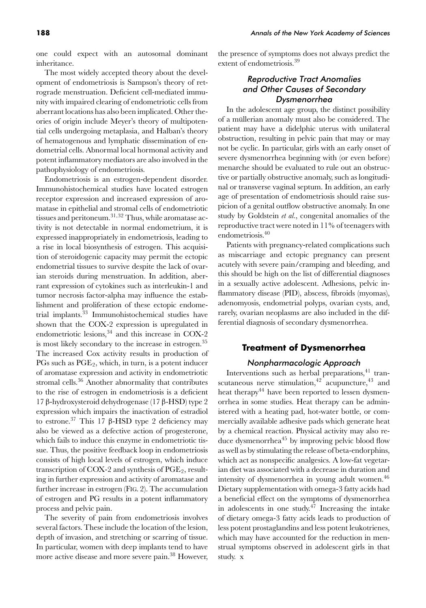one could expect with an autosomal dominant inheritance.

The most widely accepted theory about the development of endometriosis is Sampson's theory of retrograde menstruation. Deficient cell-mediated immunity with impaired clearing of endometriotic cells from aberrant locations has also been implicated. Other theories of origin include Meyer's theory of multipotential cells undergoing metaplasia, and Halban's theory of hematogenous and lymphatic dissemination of endometrial cells. Abnormal local hormonal activity and potent inflammatory mediators are also involved in the pathophysiology of endometriosis.

Endometriosis is an estrogen-dependent disorder. Immunohistochemical studies have located estrogen receptor expression and increased expression of aromatase in epithelial and stromal cells of endometriotic tissues and peritoneum.<sup>31</sup>*,*<sup>32</sup> Thus, while aromatase activity is not detectable in normal endometrium, it is expressed inappropriately in endometriosis, leading to a rise in local biosynthesis of estrogen. This acquisition of steroidogenic capacity may permit the ectopic endometrial tissues to survive despite the lack of ovarian steroids during menstruation. In addition, aberrant expression of cytokines such as interleukin-1 and tumor necrosis factor-alpha may influence the establishment and proliferation of these ectopic endometrial implants.33 Immunohistochemical studies have shown that the COX-2 expression is upregulated in endometriotic lesions,<sup>34</sup> and this increase in COX-2 is most likely secondary to the increase in estrogen.<sup>35</sup> The increased Cox activity results in production of  $PGs$  such as  $PGE<sub>2</sub>$ , which, in turn, is a potent inducer of aromatase expression and activity in endometriotic stromal cells.<sup>36</sup> Another abnormality that contributes to the rise of estrogen in endometriosis is a deficient 17 β-hydroxysteroid dehydrogenase (17 β-HSD) type 2 expression which impairs the inactivation of estradiol to estrone.<sup>37</sup> This 17 β-HSD type 2 deficiency may also be viewed as a defective action of progesterone, which fails to induce this enzyme in endometriotic tissue. Thus, the positive feedback loop in endometriosis consists of high local levels of estrogen, which induce transcription of COX-2 and synthesis of  $PGE_2$ , resulting in further expression and activity of aromatase and further increase in estrogen (FIG. 2). The accumulation of estrogen and PG results in a potent inflammatory process and pelvic pain.

The severity of pain from endometriosis involves several factors. These include the location of the lesion, depth of invasion, and stretching or scarring of tissue. In particular, women with deep implants tend to have more active disease and more severe pain.38 However, the presence of symptoms does not always predict the extent of endometriosis.<sup>39</sup>

### Reproductive Tract Anomalies and Other Causes of Secondary Dysmenorrhea

In the adolescent age group, the distinct possibility of a müllerian anomaly must also be considered. The patient may have a didelphic uterus with unilateral obstruction, resulting in pelvic pain that may or may not be cyclic. In particular, girls with an early onset of severe dysmenorrhea beginning with (or even before) menarche should be evaluated to rule out an obstructive or partially obstructive anomaly, such as longitudinal or transverse vaginal septum. In addition, an early age of presentation of endometriosis should raise suspicion of a genital outflow obstructive anomaly. In one study by Goldstein *et al.*, congenital anomalies of the reproductive tract were noted in 11% of teenagers with endometriosis.40

Patients with pregnancy-related complications such as miscarriage and ectopic pregnancy can present acutely with severe pain/cramping and bleeding, and this should be high on the list of differential diagnoses in a sexually active adolescent. Adhesions, pelvic inflammatory disease (PID), abscess, fibroids (myomas), adenomyosis, endometrial polyps, ovarian cysts, and, rarely, ovarian neoplasms are also included in the differential diagnosis of secondary dysmenorrhea.

### **Treatment of Dysmenorrhea**

#### Nonpharmacologic Approach

Interventions such as herbal preparations, $41$  transcutaneous nerve stimulation,  $42^{\circ}$  acupuncture,  $43^{\circ}$  and heat therapy<sup>44</sup> have been reported to lessen dysmenorrhea in some studies. Heat therapy can be administered with a heating pad, hot-water bottle, or commercially available adhesive pads which generate heat by a chemical reaction. Physical activity may also reduce dysmenorrhea<sup>45</sup> by improving pelvic blood flow as well as by stimulating the release of beta-endorphins, which act as nonspecific analgesics. A low-fat vegetarian diet was associated with a decrease in duration and intensity of dysmenorrhea in young adult women.<sup>46</sup> Dietary supplementation with omega-3 fatty acids had a beneficial effect on the symptoms of dysmenorrhea in adolescents in one study.<sup>47</sup> Increasing the intake of dietary omega-3 fatty acids leads to production of less potent prostaglandins and less potent leukotrienes, which may have accounted for the reduction in menstrual symptoms observed in adolescent girls in that study. x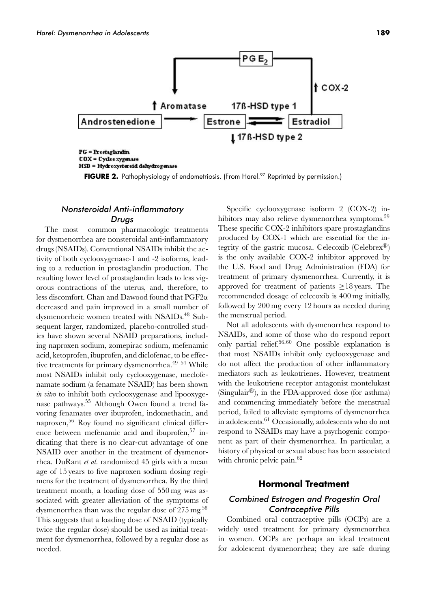

**FIGURE 2.** Pathophysiology of endometriosis. (From Harel.<sup>97</sup> Reprinted by permission.)

### Nonsteroidal Anti-inflammatory Drugs

The most common pharmacologic treatments for dysmenorrhea are nonsteroidal anti-inflammatory drugs (NSAIDs). Conventional NSAIDs inhibit the activity of both cyclooxygenase-1 and -2 isoforms, leading to a reduction in prostaglandin production. The resulting lower level of prostaglandin leads to less vigorous contractions of the uterus, and, therefore, to less discomfort. Chan and Dawood found that PGF2α decreased and pain improved in a small number of dysmenorrheic women treated with NSAIDs.<sup>48</sup> Subsequent larger, randomized, placebo-controlled studies have shown several NSAID preparations, including naproxen sodium, zomepirac sodium, mefenamic acid, ketoprofen, ibuprofen, and diclofenac, to be effective treatments for primary dysmenorrhea.<sup>49–54</sup> While most NSAIDs inhibit only cyclooxygenase, meclofenamate sodium (a fenamate NSAID) has been shown *in vitro* to inhibit both cyclooxygenase and lipooxygenase pathways.<sup>55</sup> Although Owen found a trend favoring fenamates over ibuprofen, indomethacin, and naproxen,<sup>56</sup> Roy found no significant clinical difference between mefenamic acid and ibuprofen,<sup>57</sup> indicating that there is no clear-cut advantage of one NSAID over another in the treatment of dysmenorrhea. DuRant *et al.* randomized 45 girls with a mean age of 15 years to five naproxen sodium dosing regimens for the treatment of dysmenorrhea. By the third treatment month, a loading dose of 550 mg was associated with greater alleviation of the symptoms of dysmenorrhea than was the regular dose of 275 mg.<sup>58</sup> This suggests that a loading dose of NSAID (typically twice the regular dose) should be used as initial treatment for dysmenorrhea, followed by a regular dose as needed.

Specific cyclooxygenase isoform 2 (COX-2) inhibitors may also relieve dysmenorrhea symptoms.<sup>59</sup> These specific COX-2 inhibitors spare prostaglandins produced by COX-1 which are essential for the integrity of the gastric mucosa. Celecoxib (Celebrex<sup>®</sup>) is the only available COX-2 inhibitor approved by the U.S. Food and Drug Administration (FDA) for treatment of primary dysmenorrhea. Currently, it is approved for treatment of patients  $\geq$ 18 years. The recommended dosage of celecoxib is 400 mg initially, followed by 200 mg every 12 hours as needed during the menstrual period.

Not all adolescents with dysmenorrhea respond to NSAIDs, and some of those who do respond report only partial relief.56*,*<sup>60</sup> One possible explanation is that most NSAIDs inhibit only cyclooxygenase and do not affect the production of other inflammatory mediators such as leukotrienes. However, treatment with the leukotriene receptor antagonist montelukast  $(Singular<sup>®</sup>)$ , in the FDA-approved dose (for asthma) and commencing immediately before the menstrual period, failed to alleviate symptoms of dysmenorrhea in adolescents.<sup>61</sup> Occasionally, adolescents who do not respond to NSAIDs may have a psychogenic component as part of their dysmenorrhea. In particular, a history of physical or sexual abuse has been associated with chronic pelvic pain.<sup>62</sup>

#### **Hormonal Treatment**

# Combined Estrogen and Progestin Oral Contraceptive Pills

Combined oral contraceptive pills (OCPs) are a widely used treatment for primary dysmenorrhea in women. OCPs are perhaps an ideal treatment for adolescent dysmenorrhea; they are safe during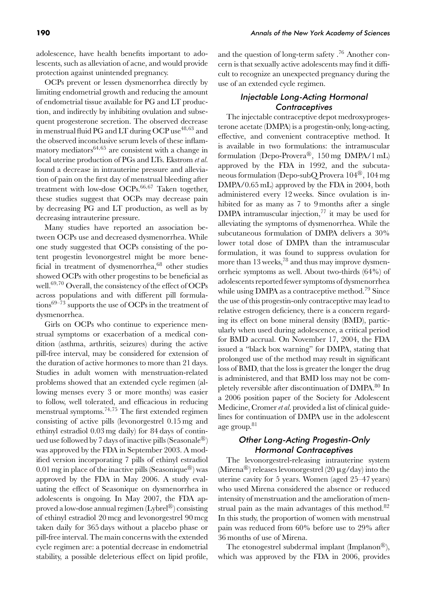adolescence, have health benefits important to adolescents, such as alleviation of acne, and would provide protection against unintended pregnancy.

OCPs prevent or lessen dysmenorrhea directly by limiting endometrial growth and reducing the amount of endometrial tissue available for PG and LT production, and indirectly by inhibiting ovulation and subsequent progesterone secretion. The observed decrease in menstrual fluid PG and LT during OCP use<sup>48,63</sup> and the observed inconclusive serum levels of these inflammatory mediators64*,*<sup>65</sup> are consistent with a change in local uterine production of PGs and LTs. Ekstrom *et al.* found a decrease in intrauterine pressure and alleviation of pain on the first day of menstrual bleeding after treatment with low-dose OCPs.<sup>66,67</sup> Taken together, these studies suggest that OCPs may decrease pain by decreasing PG and LT production, as well as by decreasing intrauterine pressure.

Many studies have reported an association between OCPs use and decreased dysmenorrhea. While one study suggested that OCPs consisting of the potent progestin levonorgestrel might be more beneficial in treatment of dysmenorrhea, $68$  other studies showed OCPs with other progestins to be beneficial as well.<sup>69</sup>*,*<sup>70</sup> Overall, the consistency of the effect of OCPs across populations and with different pill formulations $69-\overline{73}$  supports the use of OCPs in the treatment of dysmenorrhea.

Girls on OCPs who continue to experience menstrual symptoms or exacerbation of a medical condition (asthma, arthritis, seizures) during the active pill-free interval, may be considered for extension of the duration of active hormones to more than 21 days. Studies in adult women with menstruation-related problems showed that an extended cycle regimen (allowing menses every 3 or more months) was easier to follow, well tolerated, and efficacious in reducing menstrual symptoms.<sup>74</sup>*,*<sup>75</sup> The first extended regimen consisting of active pills (levonorgestrel 0.15 mg and ethinyl estradiol 0.03 mg daily) for 84 days of continued use followed by 7 days of inactive pills (Seasonale<sup>®</sup>) was approved by the FDA in September 2003. A modified version incorporating 7 pills of ethinyl estradiol 0.01 mg in place of the inactive pills (Seasonique<sup>®</sup>) was approved by the FDA in May 2006. A study evaluating the effect of Seasonique on dysmenorrhea in adolescents is ongoing. In May 2007, the FDA approved a low-dose annual regimen  $(Lybrel^{\circledR})$  consisting of ethinyl estradiol 20 mcg and levonorgestrel 90 mcg taken daily for 365 days without a placebo phase or pill-free interval. The main concerns with the extended cycle regimen are: a potential decrease in endometrial stability, a possible deleterious effect on lipid profile, and the question of long-term safety .<sup>76</sup> Another concern is that sexually active adolescents may find it difficult to recognize an unexpected pregnancy during the use of an extended cycle regimen.

### Injectable Long-Acting Hormonal **Contraceptives**

The injectable contraceptive depot medroxyprogesterone acetate (DMPA) is a progestin-only, long-acting, effective, and convenient contraceptive method. It is available in two formulations: the intramuscular formulation (Depo-Provera®,  $150 \text{ mg}$  DMPA/1 mL) approved by the FDA in 1992, and the subcutaneous formulation (Depo-subQ Provera  $104^{\circledR}$ ,  $104$  mg DMPA/0.65 mL) approved by the FDA in 2004, both administered every 12 weeks. Since ovulation is inhibited for as many as 7 to 9 months after a single DMPA intramuscular injection, $77$  it may be used for alleviating the symptoms of dysmenorrhea. While the subcutaneous formulation of DMPA delivers a 30% lower total dose of DMPA than the intramuscular formulation, it was found to suppress ovulation for more than  $13$  weeks,<sup>78</sup> and thus may improve dysmenorrheic symptoms as well. About two-thirds (64%) of adolescents reported fewer symptoms of dysmenorrhea while using DMPA as a contraceptive method.<sup>79</sup> Since the use of this progestin-only contraceptive may lead to relative estrogen deficiency, there is a concern regarding its effect on bone mineral density (BMD), particularly when used during adolescence, a critical period for BMD accrual. On November 17, 2004, the FDA issued a "black box warning" for DMPA, stating that prolonged use of the method may result in significant loss of BMD, that the loss is greater the longer the drug is administered, and that BMD loss may not be completely reversible after discontinuation of DMPA.80 In a 2006 position paper of the Society for Adolescent Medicine, Cromer*et al.* provided a list of clinical guidelines for continuation of DMPA use in the adolescent age group.<sup>81</sup>

### Other Long-Acting Progestin-Only Hormonal Contraceptives

The levonorgestrel-releasing intrauterine system (Mirena®) releases levonorgestrel (20  $\mu$ g/day) into the uterine cavity for 5 years. Women (aged 25–47 years) who used Mirena considered the absence or reduced intensity of menstruation and the amelioration of menstrual pain as the main advantages of this method.<sup>82</sup> In this study, the proportion of women with menstrual pain was reduced from 60% before use to 29% after 36 months of use of Mirena.

The etonogestrel subdermal implant (Implanon<sup>®</sup>), which was approved by the FDA in 2006, provides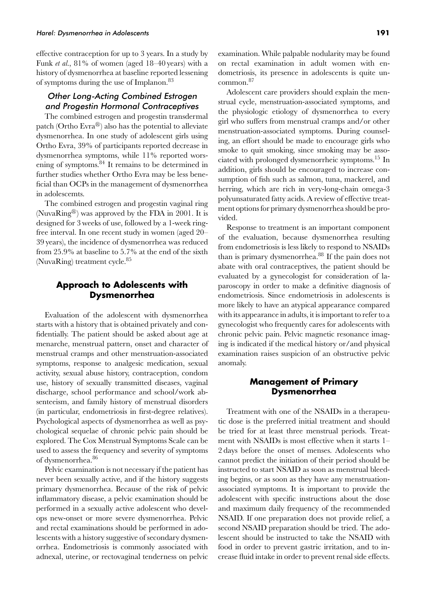#### Harel: Dysmenorrhea in Adolescents **191**

effective contraception for up to 3 years. In a study by Funk *et al.*, 81% of women (aged 18–40 years) with a history of dysmenorrhea at baseline reported lessening of symptoms during the use of Implanon.<sup>83</sup>

#### Other Long-Acting Combined Estrogen and Progestin Hormonal Contraceptives

The combined estrogen and progestin transdermal patch (Ortho Evra $\mathcal{B}$ ) also has the potential to alleviate dysmenorrhea. In one study of adolescent girls using Ortho Evra, 39% of participants reported decrease in dysmenorrhea symptoms, while 11% reported worsening of symptoms.<sup>84</sup> It remains to be determined in further studies whether Ortho Evra may be less beneficial than OCPs in the management of dysmenorrhea in adolescemts.

The combined estrogen and progestin vaginal ring (Nuva $\text{Ring}^{(8)}$ ) was approved by the FDA in 2001. It is designed for 3 weeks of use, followed by a 1-week ringfree interval. In one recent study in women (aged 20– 39 years), the incidence of dysmenorrhea was reduced from 25.9% at baseline to 5.7% at the end of the sixth (NuvaRing) treatment cycle.<sup>85</sup>

# **Approach to Adolescents with Dysmenorrhea**

Evaluation of the adolescent with dysmenorrhea starts with a history that is obtained privately and confidentially. The patient should be asked about age at menarche, menstrual pattern, onset and character of menstrual cramps and other menstruation-associated symptoms, response to analgesic medication, sexual activity, sexual abuse history, contraception, condom use, history of sexually transmitted diseases, vaginal discharge, school performance and school/work absenteeism, and family history of menstrual disorders (in particular, endometriosis in first-degree relatives). Psychological aspects of dysmenorrhea as well as psychological sequelae of chronic pelvic pain should be explored. The Cox Menstrual Symptoms Scale can be used to assess the frequency and severity of symptoms of dysmenorrhea.86

Pelvic examination is not necessary if the patient has never been sexually active, and if the history suggests primary dysmenorrhea. Because of the risk of pelvic inflammatory disease, a pelvic examination should be performed in a sexually active adolescent who develops new-onset or more severe dysmenorrhea. Pelvic and rectal examinations should be performed in adolescents with a history suggestive of secondary dysmenorrhea. Endometriosis is commonly associated with adnexal, uterine, or rectovaginal tenderness on pelvic

examination. While palpable nodularity may be found on rectal examination in adult women with endometriosis, its presence in adolescents is quite uncommon.<sup>87</sup>

Adolescent care providers should explain the menstrual cycle, menstruation-associated symptoms, and the physiologic etiology of dysmenorrhea to every girl who suffers from menstrual cramps and/or other menstruation-associated symptoms. During counseling, an effort should be made to encourage girls who smoke to quit smoking, since smoking may be associated with prolonged dysmenorrheic symptoms.15 In addition, girls should be encouraged to increase consumption of fish such as salmon, tuna, mackerel, and herring, which are rich in very-long-chain omega-3 polyunsaturated fatty acids. A review of effective treatment options for primary dysmenorrhea should be provided.

Response to treatment is an important component of the evaluation, because dysmenorrhea resulting from endometriosis is less likely to respond to NSAIDs than is primary dysmenorrhea.<sup>88</sup> If the pain does not abate with oral contraceptives, the patient should be evaluated by a gynecologist for consideration of laparoscopy in order to make a definitive diagnosis of endometriosis. Since endometriosis in adolescents is more likely to have an atypical appearance compared with its appearance in adults, it is important to refer to a gynecologist who frequently cares for adolescents with chronic pelvic pain. Pelvic magnetic resonance imaging is indicated if the medical history or/and physical examination raises suspicion of an obstructive pelvic anomaly.

# **Management of Primary Dysmenorrhea**

Treatment with one of the NSAIDs in a therapeutic dose is the preferred initial treatment and should be tried for at least three menstrual periods. Treatment with NSAIDs is most effective when it starts 1– 2 days before the onset of menses. Adolescents who cannot predict the initiation of their period should be instructed to start NSAID as soon as menstrual bleeding begins, or as soon as they have any menstruationassociated symptoms. It is important to provide the adolescent with specific instructions about the dose and maximum daily frequency of the recommended NSAID. If one preparation does not provide relief, a second NSAID preparation should be tried. The adolescent should be instructed to take the NSAID with food in order to prevent gastric irritation, and to increase fluid intake in order to prevent renal side effects.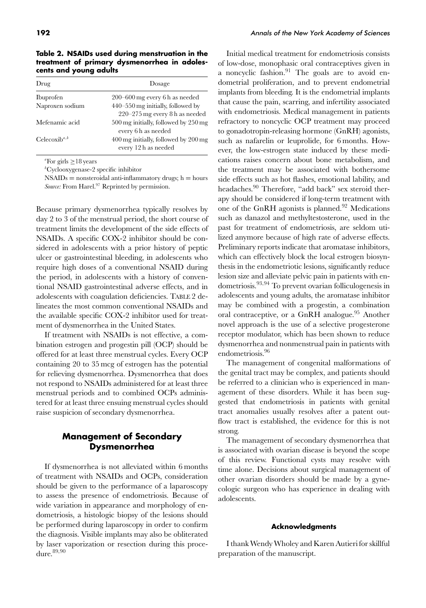**Table 2. NSAIDs used during menstruation in the treatment of primary dysmenorrhea in adolescents and young adults**

| Drug              | Dosage                                                                |
|-------------------|-----------------------------------------------------------------------|
| Ibuprofen         | $200 - 600$ mg every 6 h as needed                                    |
| Naproxen sodium   | 440–550 mg initially, followed by<br>$220-275$ mg every 8 h as needed |
| Mefenamic acid    | 500 mg initially, followed by 250 mg<br>every 6 h as needed           |
| $Celecoxib^{a,b}$ | 400 mg initially, followed by 200 mg<br>every 12 h as needed          |

 $a^a$ For girls  $\geq 18$  years<br>*b*Cyclooxygenase-2

 ${}^b$ Cyclooxygenase-2 specific inhibitor

 $NSAIDs =$  nonsteroidal anti-inflammatory drugs;  $h =$  hours *Source:* From Harel.97 Reprinted by permission.

Because primary dysmenorrhea typically resolves by day 2 to 3 of the menstrual period, the short course of treatment limits the development of the side effects of NSAIDs. A specific COX-2 inhibitor should be considered in adolescents with a prior history of peptic ulcer or gastrointestinal bleeding, in adolescents who require high doses of a conventional NSAID during the period, in adolescents with a history of conventional NSAID gastrointestinal adverse effects, and in adolescents with coagulation deficiencies. TABLE 2 delineates the most common conventional NSAIDs and the available specific COX-2 inhibitor used for treatment of dysmenorrhea in the United States.

If treatment with NSAIDs is not effective, a combination estrogen and progestin pill (OCP) should be offered for at least three menstrual cycles. Every OCP containing 20 to 35 mcg of estrogen has the potential for relieving dysmenorrhea. Dysmenorrhea that does not respond to NSAIDs administered for at least three menstrual periods and to combined OCPs administered for at least three ensuing menstrual cycles should raise suspicion of secondary dysmenorrhea.

#### **Management of Secondary Dysmenorrhea**

If dysmenorrhea is not alleviated within 6 months of treatment with NSAIDs and OCPs, consideration should be given to the performance of a laparoscopy to assess the presence of endometriosis. Because of wide variation in appearance and morphology of endometriosis, a histologic biopsy of the lesions should be performed during laparoscopy in order to confirm the diagnosis. Visible implants may also be obliterated by laser vaporization or resection during this procedure.<sup>89</sup>*,*<sup>90</sup>

Initial medical treatment for endometriosis consists of low-dose, monophasic oral contraceptives given in a noncyclic fashion.<sup>91</sup> The goals are to avoid endometrial proliferation, and to prevent endometrial implants from bleeding. It is the endometrial implants that cause the pain, scarring, and infertility associated with endometriosis. Medical management in patients refractory to noncyclic OCP treatment may proceed to gonadotropin-releasing hormone (GnRH) agonists, such as nafarelin or leuprolide, for 6 months. However, the low-estrogen state induced by these medications raises concern about bone metabolism, and the treatment may be associated with bothersome side effects such as hot flashes, emotional lability, and headaches.<sup>90</sup> Therefore, "add back" sex steroid therapy should be considered if long-term treatment with one of the GnRH agonists is planned. $92$  Medications such as danazol and methyltestosterone, used in the past for treatment of endometriosis, are seldom utilized anymore because of high rate of adverse effects. Preliminary reports indicate that aromatase inhibitors, which can effectively block the local estrogen biosynthesis in the endometriotic lesions, significantly reduce lesion size and alleviate pelvic pain in patients with endometriosis.93*,*<sup>94</sup> To prevent ovarian folliculogenesis in adolescents and young adults, the aromatase inhibitor may be combined with a progestin, a combination oral contraceptive, or a GnRH analogue.<sup>95</sup> Another novel approach is the use of a selective progesterone receptor modulator, which has been shown to reduce dysmenorrhea and nonmenstrual pain in patients with endometriosis.96

The management of congenital malformations of the genital tract may be complex, and patients should be referred to a clinician who is experienced in management of these disorders. While it has been suggested that endometriosis in patients with genital tract anomalies usually resolves after a patent outflow tract is established, the evidence for this is not strong.

The management of secondary dysmenorrhea that is associated with ovarian disease is beyond the scope of this review. Functional cysts may resolve with time alone. Decisions about surgical management of other ovarian disorders should be made by a gynecologic surgeon who has experience in dealing with adolescents.

#### **Acknowledgments**

I thank Wendy Wholey and Karen Autieri for skillful preparation of the manuscript.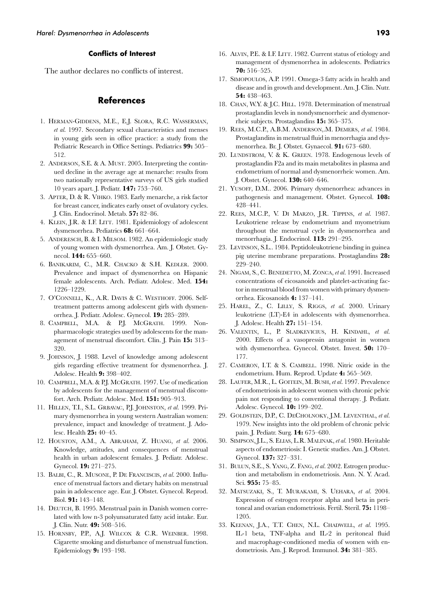#### **Conflicts of Interest**

The author declares no conflicts of interest.

#### **References**

- 1. HERMAN-GIDDENS, M.E., E.J. SLORA, R.C. WASSERMAN, *et al.* 1997. Secondary sexual characteristics and menses in young girls seen in office practice: a study from the Pediatric Research in Office Settings. Pediatrics **99:** 505– 512.
- 2. ANDERSON, S.E. & A. MUST. 2005. Interpreting the continued decline in the average age at menarche: results from two nationally representative surveys of US girls studied 10 years apart. J. Pediatr. **147:** 753–760.
- 3. APTER, D. & R. VIHKO. 1983. Early menarche, a risk factor for breast cancer, indicates early onset of ovulatory cycles. J. Clin. Endocrinol. Metab. **57:** 82–86.
- 4. KLEIN, J.R. & I.F. LITT. 1981. Epidemiology of adolescent dysmenorrhea. Pediatrics **68:** 661–664.
- 5. ANDERESCH, B. & I. MILSOM. 1982. An epidemiologic study of young women with dysmenorrhea. Am. J. Obstet. Gynecol. **144:** 655–660.
- 6. BANIKARIM, C., M.R. CHACKO & S.H. KEDLER. 2000. Prevalence and impact of dysmenorrhea on Hispanic female adolescents. Arch. Pediatr. Adolesc. Med. **154:** 1226–1229.
- 7. O'CONNELL, K., A.R. DAVIS & C. WESTHOFF. 2006. Selftreatment patterns among adolescent girls with dysmenorrhea. J. Pediatr. Adolesc. Gynecol. **19:** 285–289.
- 8. CAMPBELL, M.A. & P.J. MCGRATH. 1999. Nonpharmacologic strategies used by adolescents for the management of menstrual discomfort. Clin. J. Pain **15:** 313– 320.
- 9. JOHNSON, J. 1988. Level of knowledge among adolescent girls regarding effective treatment for dysmenorrhea. J. Adolesc. Health **9:** 398–402.
- 10. CAMPBELL, M.A. & P.J. MCGRATH. 1997. Use of medication by adolescents for the management of menstrual discomfort. Arch. Pediatr. Adolesc. Med. **151:** 905–913.
- 11. HILLEN, T.I., S.L. GRBAVAC, P.J. JOHNSTON, *et al.* 1999. Primary dysmenorrhea in young western Australian women: prevalence, impact and knowledge of treatment. J. Adolesc. Health **25:** 40–45.
- 12. HOUSTON, A.M., A. ABRAHAM, Z. HUANG, *et al.* 2006. Knowledge, attitudes, and consequences of menstrual health in urban adolescent females. J. Pediatr. Adolesc. Gynecol. **19:** 271–275.
- 13. BALBI, C., R. MUSONE, P. DE FRANCISCIS, *et al.* 2000. Influence of menstrual factors and dietary habits on menstrual pain in adolescence age. Eur. J. Obstet. Gynecol. Reprod. Biol. **91:** 143–148.
- 14. DEUTCH, B. 1995. Menstrual pain in Danish women correlated with low n-3 polyunsaturated fatty acid intake. Eur. J. Clin. Nutr. **49:** 508–516.
- 15. HORNSBY, P.P., A.J. WILCOX & C.R. WEINBER. 1998. Cigarette smoking and disturbance of menstrual function. Epidemiology **9:** 193–198.
- 16. ALVIN, P.E. & I.F. LITT. 1982. Current status of etiology and management of dysmenorrhea in adolescents. Pediatrics **70:** 516–525.
- 17. SIMOPOULOS, A.P. 1991. Omega-3 fatty acids in health and disease and in growth and development. Am. J. Clin. Nutr. **54:** 438–463.
- 18. CHAN, W.Y. & J.C. HILL. 1978. Determination of menstrual prostaglandin levels in nondysmenorrheic and dysmenorrheic subjects. Prostaglandins **15:** 365–375.
- 19. REES, M.C.P., A.B.M. ANDERSON,.M. DEMERS, *et al.* 1984. Prostaglandins in menstrual fluid in menorrhagia and dysmenorrhea. Br. J. Obstet. Gynaecol. **91:** 673–680.
- 20. LUNDSTROM, V. & K. GREEN. 1978. Endogenous levels of prostaglandin F2a and its main metabolites in plasma and endometrium of normal and dysmenorrheic women. Am. J. Obstet. Gynecol. **130:** 640–646.
- 21. YUSOFF, D.M.. 2006. Primary dysmenorrhea: advances in pathogenesis and management. Obstet. Gynecol. **108:** 428–441.
- 22. REES, M.C.P., V. DI MARZO, J.R. TIPPINS, *et al.* 1987. Leukotriene release by endometrium and myometrium throughout the menstrual cycle in dysmenorrhea and menorrhagia. J. Endocrinol. **113:** 291–295.
- 23. LEVINSON, S.L.. 1984. Peptidoleukotriene binding in guinea pig uterine membrane preparations. Prostaglandins **28:** 229–240.
- 24. NIGAM, S., C. BENEDETTO, M. ZONCA, *et al.* 1991. Increased concentrations of eicosanoids and platelet-activating factor in menstrual blood from women with primary dysmenorrhea. Eicosanoids **4:** 137–141.
- 25. HAREL, Z., C. LILLY, S. RIGGS, *et al.* 2000. Urinary leukotriene (LT)-E4 in adolescents with dysmenorrhea. J. Adolesc. Health **27:** 151–154.
- 26. VALENTIN, L., P. SLADKEVICIUS, H. KINDAHL, *et al.* 2000. Effects of a vasopressin antagonist in women with dysmenorrhea. Gynecol. Obstet. Invest. **50:** 170– 177.
- 27. CAMERON, I.T. & S. CAMBELL. 1998. Nitric oxide in the endometrium. Hum. Reprod. Update **4:** 565–569.
- 28. LAUFER, M.R., L. GOITEIN, M. BUSH, *et al.* 1997. Prevalence of endometriosis in adolescent women with chronic pelvic pain not responding to conventional therapy. J. Pediatr. Adolesc. Gynecol. **10:** 199–202.
- 29. GOLDSTEIN, D.P., C. DECHOLNOKY, J.M. LEVENTHAL, *et al.* 1979. New insights into the old problem of chronic pelvic pain. J. Pediatr. Surg. **14:** 675–680.
- 30. SIMPSON, J.L., S. ELIAS, L.R. MALINAK, *et al.* 1980. Heritable aspects of endometriosis: I. Genetic studies. Am. J. Obstet. Gynecol. **137:** 327–331.
- 31. BULUN, S.E., S. YANG, Z. FANG, *et al.* 2002. Estrogen production and metabolism in endometriosis. Ann. N. Y. Acad. Sci. **955:** 75–85.
- 32. MATSUZAKI, S., T. MURAKAMI, S. UEHARA, *et al.* 2004. Expression of estrogen receptor alpha and beta in peritoneal and ovarian endometriosis. Fertil. Steril. **75:** 1198– 1205.
- 33. KEENAN, J.A., T.T. CHEN, N.L. CHADWELL, *et al.* 1995. IL-1 beta, TNF-alpha and IL-2 in peritoneal fluid and macrophage-conditioned media of women with endometriosis. Am. J. Reprod. Immunol. **34:** 381–385.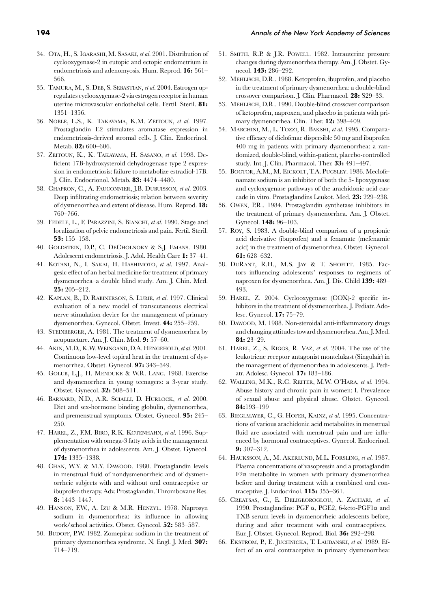- 34. OTA, H., S. IGARASHI, M. SASAKI, *et al.* 2001. Distribution of cyclooxygenase-2 in eutopic and ectopic endometrium in endometriosis and adenomyosis. Hum. Reprod. **16:** 561– 566.
- 35. TAMURA, M., S. DEB, S. SEBASTIAN, *et al.* 2004. Estrogen upregulates cyclooxygenase-2 via estrogen receptor in human uterine microvascular endothelial cells. Fertil. Steril. **81:** 1351–1356.
- 36. NOBLE, L.S., K. TAKAYAMA, K.M. ZEITOUN, *et al.* 1997. Prostaglandin E2 stimulates aromatase expression in endometriosis-derived stromal cells. J. Clin. Endocrinol. Metab. **82:** 600–606.
- 37. ZEITOUN, K., K. TAKAYAMA, H. SASANO, *et al.* 1998. Deficient 17B-hydroxysteroid dehydrogenase type 2 expression in endometriosis: failure to metabolize estradiol-17B. J. Clin. Endocrionol. Metab. **83:** 4474–4480.
- 38. CHAPRON, C., A. FAUCONNIER, J.B. DUBUISSON, *et al.* 2003. Deep infiltrating endometriosis; relation between severity of dysmenorrhea and extent of disease. Hum. Reprod. **18:** 760–766.
- 39. FEDELE, L., F. PARAZZINI, S. BIANCHI, *et al.* 1990. Stage and localization of pelvic endometriosis and pain. Fertil. Steril. **53:** 155–158.
- 40. GOLDSTEIN, D.P., C. DECHOLNOKY & S.J. EMANS. 1980. Adolescent endometriosis. J. Adol. Health Care **1:** 37–41.
- 41. KOTANI, N., I. SAKAI, H. HASHIMOTO, *et al.* 1997. Analgesic effect of an herbal medicine for treatment of primary dysmenorrhea–a double blind study. Am. J. Chin. Med. **25:** 205–212.
- 42. KAPLAN, B., D. RABINERSON, S. LURIE, *et al.* 1997. Clinical evaluation of a new model of transcutaneous electrical nerve stimulation device for the management of primary dysmenorrhea. Gynecol. Obstet. Invest. **44:** 255–259.
- 43. STEINBERGER, A. 1981. The treatment of dysmenorrhea by acupuncture. Am. J. Chin. Med. **9:** 57–60.
- 44. AKIN, M.D., K.W. WEINGAND, D.A. HENGEHOLD, *et al.* 2001. Continuous low-level topical heat in the treatment of dysmenorrhea. Obstet. Gynecol. **97:** 343–349.
- 45. GOLUB, L.J., H. MENDUKE & W.R. LANG. 1968. Exercise and dysmenorrhea in young teenagers: a 3-year study. Obstet. Gynecol. **32:** 508–511.
- 46. BARNARD, N.D., A.R. SCIALLI, D. HURLOCK, *et al.* 2000. Diet and sex-hormone binding globulin, dysmenorrhea, and premenstrual symptoms. Obstet. Gynecol. **95:** 245– 250.
- 47. HAREL, Z., F.M. BIRO, R.K. KOTENHAHN, *et al.* 1996. Supplementation with omega-3 fatty acids in the management of dysmenorrhea in adolescents. Am. J. Obstet. Gynecol. **174:** 1335–1338.
- 48. CHAN, W.Y. & M.Y. DAWOOD. 1980. Prostaglandin levels in menstrual fluid of nondysmenorrheic and of dysmenorrheic subjects with and without oral contraceptive or ibuprofen therapy. Adv. Prostaglandin. Thromboxane Res. **8:** 1443–1447.
- 49. HANSON, F.W., A. IZU & M.R. HENZYL. 1978. Naprosyn sodium in dysmenorrhea: its influence in allowing work/school activities. Obstet. Gynecol. **52:** 583–587.
- 50. BUDOFF, P.W. 1982. Zomepirac sodium in the treatment of primary dysmenorrhea syndrome. N. Engl. J. Med. **307:** 714–719.
- 51. SMITH, R.P. & J.R. POWELL. 1982. Intrauterine pressure changes during dysmenorrhea therapy. Am. J. Obstet. Gynecol. **143:** 286–292.
- 52. MEHLISCH, D.R.. 1988. Ketoprofen, ibuprofen, and placebo in the treatment of primary dysmenorrhea: a double-blind crossover comparison. J. Clin. Pharmacol. **28:** S29–33.
- 53. MEHLISCH, D.R.. 1990. Double-blind crossover comparison of ketoprofen, naproxen, and placebo in patients with primary dysmenorrhea. Clin. Ther. **12:** 398–409.
- 54. MARCHINI, M., L. TOZZI, R. BAKSHI, *et al.* 1995. Comparative efficacy of diclofenac dispersible 50 mg and ibuprofen 400 mg in patients with primary dysmenorrhea: a randomized, double-blind, within-patient, placebo-controlled study. Int. J. Clin. Pharmacol. Ther. **33:** 491–497.
- 55. BOCTOR, A.M., M. EICKOLT, T.A. PUGSLEY. 1986. Meclofenamate sodium is an inhibitor of both the 5- lipoxygenase and cycloxygenase pathways of the arachidonic acid cascade in vitro. Prostaglandins Leukot. Med. **23:** 229–238.
- 56. OWEN, P.R.. 1984. Prostaglandin synthetase inhibitors in the treatment of primary dysmenorrhea. Am. J. Obstet. Gynecol. **148:** 96–103.
- 57. ROY, S. 1983. A double-blind comparison of a propionic acid derivative (ibuprofen) and a fenamate (mefenamic acid) in the treatment of dysmenorrhea. Obstet. Gynecol. **61:** 628–632.
- 58. DURANT, R.H., M.S. JAY & T. SHOFITT. 1985. Factors influencing adolescents' responses to regimens of naproxen for dysmenorrhea. Am. J. Dis. Child **139:** 489– 493.
- 59. HAREL, Z. 2004. Cyclooxygenase (COX)-2 specific inhibitors in the treatment of dysmenorrhea. J. Pediatr. Adolesc. Gynecol. **17:** 75–79.
- 60. DAWOOD, M. 1988. Non-steroidal anti-inflammatory drugs and changing attitudes toward dysmenorrhea. Am. J.Med. **84:** 23–29.
- 61. HAREL, Z., S. RIGGS, R. VAZ, *et al.* 2004. The use of the leukotriene receptor antagonist montelukast (Singulair) in the management of dysmenorrhea in adolescents. J. Pediatr. Adolesc. Gynecol. **17:** 183–186.
- 62. WALLING, M.K., R.C. REITER, M.W. O'HARA, *et al.* 1994. Abuse history and chronic pain in women: I. Prevalence of sexual abuse and physical abuse. Obstet. Gynecol. **84:**193–199
- 63. BIEGLMAYER, C., G. HOFER, KAINZ, *et al.* 1995. Concentrations of various arachidonic acid metabolites in menstrual fluid are associated with menstrual pain and are influenced by hormonal contraceptives. Gynecol. Endocrinol. **9:** 307–312.
- 64. HAUKSSON, A., M. AKERLUND, M.L. FORSLING, *et al.* 1987. Plasma concentrations of vasopressin and a prostaglandin F2α metabolite in women with primary dysmenorrhea before and during treatment with a combined oral contraceptive. J. Endocrinol. **115:** 355–361.
- 65. CREATSAS, G., E. DELIGEOROGLOU, A. ZACHARI, *et al.* 1990. Prostaglandins: PGF α, PGE2, 6-keto-PGF1α and TXB serum levels in dysmenorrheic adolescents before, during and after treatment with oral contraceptives. Eur. J. Obstet. Gynecol. Reprod. Biol. **36:** 292–298.
- 66. EKSTROM, P., E. JUCHNICKA, T. LAUDANSKI, *et al.* 1989. Effect of an oral contraceptive in primary dysmenorrhea: